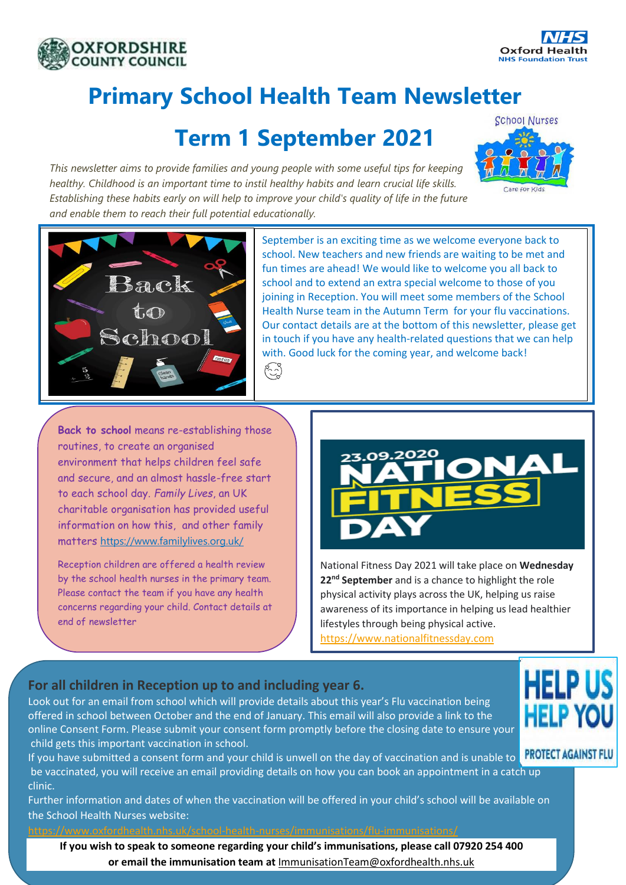



# **Primary School Health Team Newsletter**

### **Term 1 September 2021**

*This newsletter aims to provide families and young people with some useful tips for keeping healthy. Childhood is an important time to instil healthy habits and learn crucial life skills. Establishing these habits early on will help to improve your child's quality of life in the future and enable them to reach their full potential educationally.*

ائع<br>(پ





September is an exciting time as we welcome everyone back to school. New teachers and new friends are waiting to be met and fun times are ahead! We would like to welcome you all back to school and to extend an extra special welcome to those of you joining in Reception. You will meet some members of the School Health Nurse team in the Autumn Term for your flu vaccinations. Our contact details are at the bottom of this newsletter, please get in touch if you have any health-related questions that we can help with. Good luck for the coming year, and welcome back!

**Back to school** means re-establishing those routines, to create an organised environment that helps children feel safe and secure, and an almost hassle-free start to each school day. *Family Lives*, an UK charitable organisation has provided useful information on how this, and other family matters <https://www.familylives.org.uk/>

Reception children are offered a health review by the school health nurses in the primary team. Please contact the team if you have any health concerns regarding your child. Contact details at end of newsletter



National Fitness Day 2021 will take place on **Wednesday 22nd September** and is a chance to highlight the role physical activity plays across the UK, helping us raise awareness of its importance in helping us lead healthier lifestyles through being physical active. [https://www.nationalfitnessday.com](https://www.nationalfitnessday.com/)

#### **For all children in Reception up to and including year 6.**

Look out for an email from school which will provide details about this year's Flu vaccination being offered in school between October and the end of January. This email will also provide a link to the online Consent Form. Please submit your consent form promptly before the closing date to ensure your child gets this important vaccination in school.

If you have submitted a consent form and your child is unwell on the day of vaccination and is unable to **PROTECT AGAINST FLU** be vaccinated, you will receive an email providing details on how you can book an appointment in a catch up clinic.

Further information and dates of when the vaccination will be offered in your child's school will be available on the School Health Nurses website:

<https://www.oxfordhealth.nhs.uk/school-health-nurses/immunisations/flu-immunisations/>

**If you wish to speak to someone regarding your child's immunisations, please call 07920 254 400 or email the immunisation team at** [ImmunisationTeam@oxfordhealth.nhs.uk](mailto:ImmunisationTeam@oxfordhealth.nhs.uk)